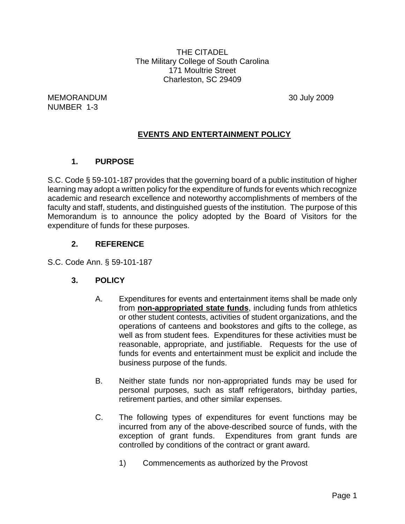THE CITADEL The Military College of South Carolina 171 Moultrie Street Charleston, SC 29409

MEMORANDUM 30 July 2009 NUMBER 1-3

# **EVENTS AND ENTERTAINMENT POLICY**

# **1. PURPOSE**

S.C. Code § 59-101-187 provides that the governing board of a public institution of higher learning may adopt a written policy for the expenditure of funds for events which recognize academic and research excellence and noteworthy accomplishments of members of the faculty and staff, students, and distinguished guests of the institution. The purpose of this Memorandum is to announce the policy adopted by the Board of Visitors for the expenditure of funds for these purposes.

# **2. REFERENCE**

S.C. Code Ann. § 59-101-187

#### **3. POLICY**

- A. Expenditures for events and entertainment items shall be made only from **non-appropriated state funds**, including funds from athletics or other student contests, activities of student organizations, and the operations of canteens and bookstores and gifts to the college, as well as from student fees. Expenditures for these activities must be reasonable, appropriate, and justifiable. Requests for the use of funds for events and entertainment must be explicit and include the business purpose of the funds.
- B. Neither state funds nor non-appropriated funds may be used for personal purposes, such as staff refrigerators, birthday parties, retirement parties, and other similar expenses.
- C. The following types of expenditures for event functions may be incurred from any of the above-described source of funds, with the exception of grant funds. Expenditures from grant funds are controlled by conditions of the contract or grant award.
	- 1) Commencements as authorized by the Provost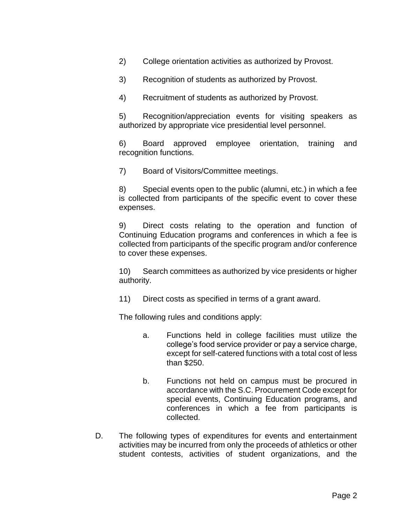2) College orientation activities as authorized by Provost.

3) Recognition of students as authorized by Provost.

4) Recruitment of students as authorized by Provost.

5) Recognition/appreciation events for visiting speakers as authorized by appropriate vice presidential level personnel.

6) Board approved employee orientation, training and recognition functions.

7) Board of Visitors/Committee meetings.

8) Special events open to the public (alumni, etc.) in which a fee is collected from participants of the specific event to cover these expenses.

9) Direct costs relating to the operation and function of Continuing Education programs and conferences in which a fee is collected from participants of the specific program and/or conference to cover these expenses.

10) Search committees as authorized by vice presidents or higher authority.

11) Direct costs as specified in terms of a grant award.

The following rules and conditions apply:

- a. Functions held in college facilities must utilize the college's food service provider or pay a service charge, except for self-catered functions with a total cost of less than \$250.
- b. Functions not held on campus must be procured in accordance with the S.C. Procurement Code except for special events, Continuing Education programs, and conferences in which a fee from participants is collected.
- D. The following types of expenditures for events and entertainment activities may be incurred from only the proceeds of athletics or other student contests, activities of student organizations, and the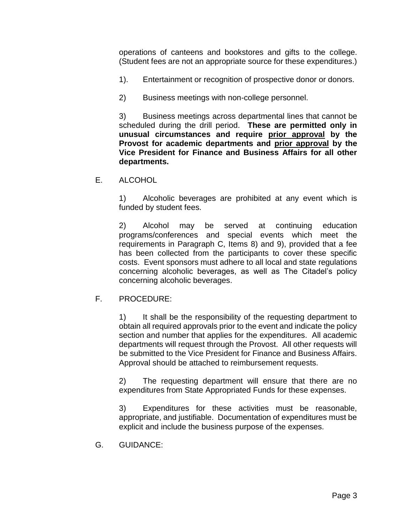operations of canteens and bookstores and gifts to the college. (Student fees are not an appropriate source for these expenditures.)

- 1). Entertainment or recognition of prospective donor or donors.
- 2) Business meetings with non-college personnel.

3) Business meetings across departmental lines that cannot be scheduled during the drill period. **These are permitted only in unusual circumstances and require prior approval by the Provost for academic departments and prior approval by the Vice President for Finance and Business Affairs for all other departments.**

E. ALCOHOL

1) Alcoholic beverages are prohibited at any event which is funded by student fees.

2) Alcohol may be served at continuing education programs/conferences and special events which meet the requirements in Paragraph C, Items 8) and 9), provided that a fee has been collected from the participants to cover these specific costs. Event sponsors must adhere to all local and state regulations concerning alcoholic beverages, as well as The Citadel's policy concerning alcoholic beverages.

# F. PROCEDURE:

1) It shall be the responsibility of the requesting department to obtain all required approvals prior to the event and indicate the policy section and number that applies for the expenditures. All academic departments will request through the Provost. All other requests will be submitted to the Vice President for Finance and Business Affairs. Approval should be attached to reimbursement requests.

2) The requesting department will ensure that there are no expenditures from State Appropriated Funds for these expenses.

3) Expenditures for these activities must be reasonable, appropriate, and justifiable. Documentation of expenditures must be explicit and include the business purpose of the expenses.

G. GUIDANCE: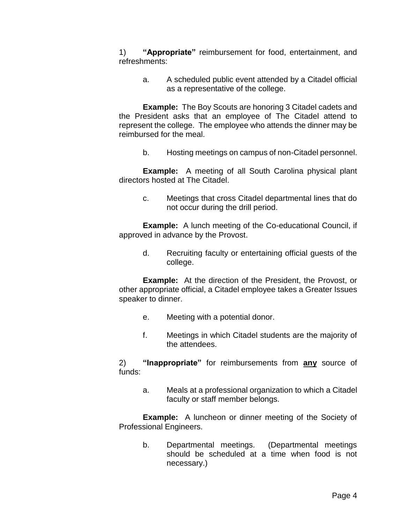1) **"Appropriate"** reimbursement for food, entertainment, and refreshments:

a. A scheduled public event attended by a Citadel official as a representative of the college.

**Example:** The Boy Scouts are honoring 3 Citadel cadets and the President asks that an employee of The Citadel attend to represent the college. The employee who attends the dinner may be reimbursed for the meal.

b. Hosting meetings on campus of non-Citadel personnel.

**Example:** A meeting of all South Carolina physical plant directors hosted at The Citadel.

c. Meetings that cross Citadel departmental lines that do not occur during the drill period.

**Example:** A lunch meeting of the Co-educational Council, if approved in advance by the Provost.

> d. Recruiting faculty or entertaining official guests of the college.

**Example:** At the direction of the President, the Provost, or other appropriate official, a Citadel employee takes a Greater Issues speaker to dinner.

- e. Meeting with a potential donor.
- f. Meetings in which Citadel students are the majority of the attendees.

2) **"Inappropriate"** for reimbursements from **any** source of funds:

a. Meals at a professional organization to which a Citadel faculty or staff member belongs.

**Example:** A luncheon or dinner meeting of the Society of Professional Engineers.

b. Departmental meetings. (Departmental meetings should be scheduled at a time when food is not necessary.)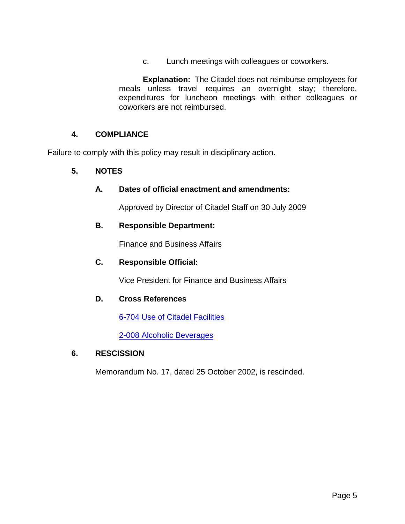c. Lunch meetings with colleagues or coworkers.

**Explanation:** The Citadel does not reimburse employees for meals unless travel requires an overnight stay; therefore, expenditures for luncheon meetings with either colleagues or coworkers are not reimbursed.

# **4. COMPLIANCE**

Failure to comply with this policy may result in disciplinary action.

#### **5. NOTES**

#### **A. Dates of official enactment and amendments:**

Approved by Director of Citadel Staff on 30 July 2009

# **B. Responsible Department:**

Finance and Business Affairs

#### **C. Responsible Official:**

Vice President for Finance and Business Affairs

#### **D. Cross References**

[6-704 Use of Citadel Facilities](http://www.citadel.edu/root/images/Policies/6-404-use-of-citadel-facilities-policy.pdf)

2-008 [Alcoholic Beverages](http://www.citadel.edu/root/images/Policies/2-008-alcoholic-beverages.pdf)

### **6. RESCISSION**

Memorandum No. 17, dated 25 October 2002, is rescinded.